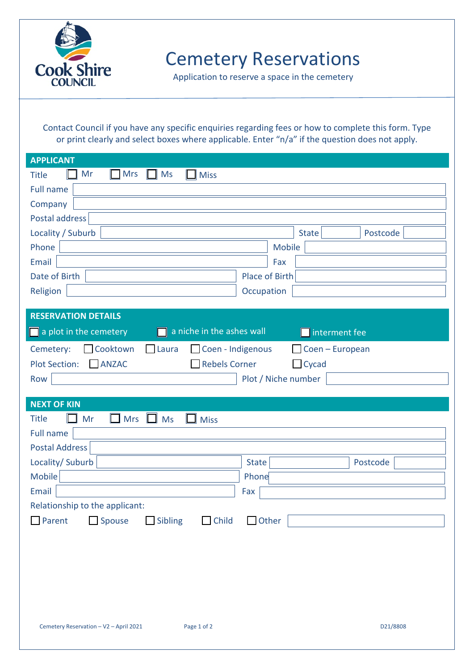

Cemetery Reservations

Application to reserve a space in the cemetery

Contact Council if you have any specific enquiries regarding fees or how to complete this form. Type or print clearly and select boxes where applicable. Enter "n/a" if the question does not apply.

| <b>APPLICANT</b>                                             |                     |          |
|--------------------------------------------------------------|---------------------|----------|
| Mr<br><b>Mrs</b><br>Ms<br><b>Title</b><br><b>Miss</b>        |                     |          |
| <b>Full name</b>                                             |                     |          |
| Company                                                      |                     |          |
| Postal address                                               |                     |          |
| Locality / Suburb                                            | <b>State</b>        | Postcode |
| Phone                                                        | Mobile              |          |
| Email                                                        | Fax                 |          |
| Date of Birth                                                | Place of Birth      |          |
| Religion                                                     | Occupation          |          |
| <b>RESERVATION DETAILS</b>                                   |                     |          |
|                                                              |                     |          |
| a niche in the ashes wall<br>a plot in the cemetery          | interment fee       |          |
| Cooktown<br>Coen - Indigenous<br>Cemetery:<br>Laura          | Coen - European     |          |
| <b>ANZAC</b><br><b>Rebels Corner</b><br><b>Plot Section:</b> | $\Box$ Cycad        |          |
| Row                                                          | Plot / Niche number |          |
|                                                              |                     |          |
|                                                              |                     |          |
| <b>NEXT OF KIN</b><br><b>Title</b>                           |                     |          |
| Mr<br><b>Mrs</b><br>Ms<br><b>Miss</b>                        |                     |          |
| <b>Full name</b><br><b>Postal Address</b>                    |                     |          |
| Locality/ Suburb                                             | <b>State</b>        | Postcode |
| Mobile                                                       | Phone               |          |
| Email                                                        | Fax                 |          |
| Relationship to the applicant:                               |                     |          |
| Spouse<br>$\Box$ Sibling<br>$\Box$ Child<br>Parent           | <b>J</b> Other      |          |
|                                                              |                     |          |
|                                                              |                     |          |
|                                                              |                     |          |
|                                                              |                     |          |
|                                                              |                     |          |
|                                                              |                     |          |